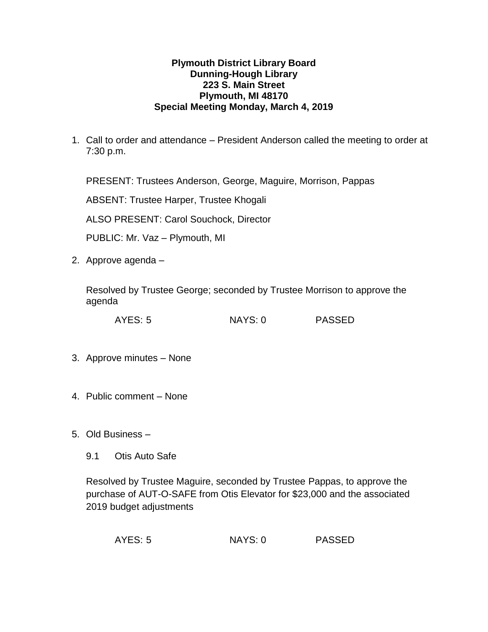## **Plymouth District Library Board Dunning-Hough Library 223 S. Main Street Plymouth, MI 48170 Special Meeting Monday, March 4, 2019**

1. Call to order and attendance – President Anderson called the meeting to order at 7:30 p.m.

PRESENT: Trustees Anderson, George, Maguire, Morrison, Pappas

ABSENT: Trustee Harper, Trustee Khogali

ALSO PRESENT: Carol Souchock, Director

PUBLIC: Mr. Vaz – Plymouth, MI

2. Approve agenda –

Resolved by Trustee George; seconded by Trustee Morrison to approve the agenda

AYES: 5 NAYS: 0 PASSED

- 3. Approve minutes None
- 4. Public comment None
- 5. Old Business
	- 9.1 Otis Auto Safe

Resolved by Trustee Maguire, seconded by Trustee Pappas, to approve the purchase of AUT-O-SAFE from Otis Elevator for \$23,000 and the associated 2019 budget adjustments